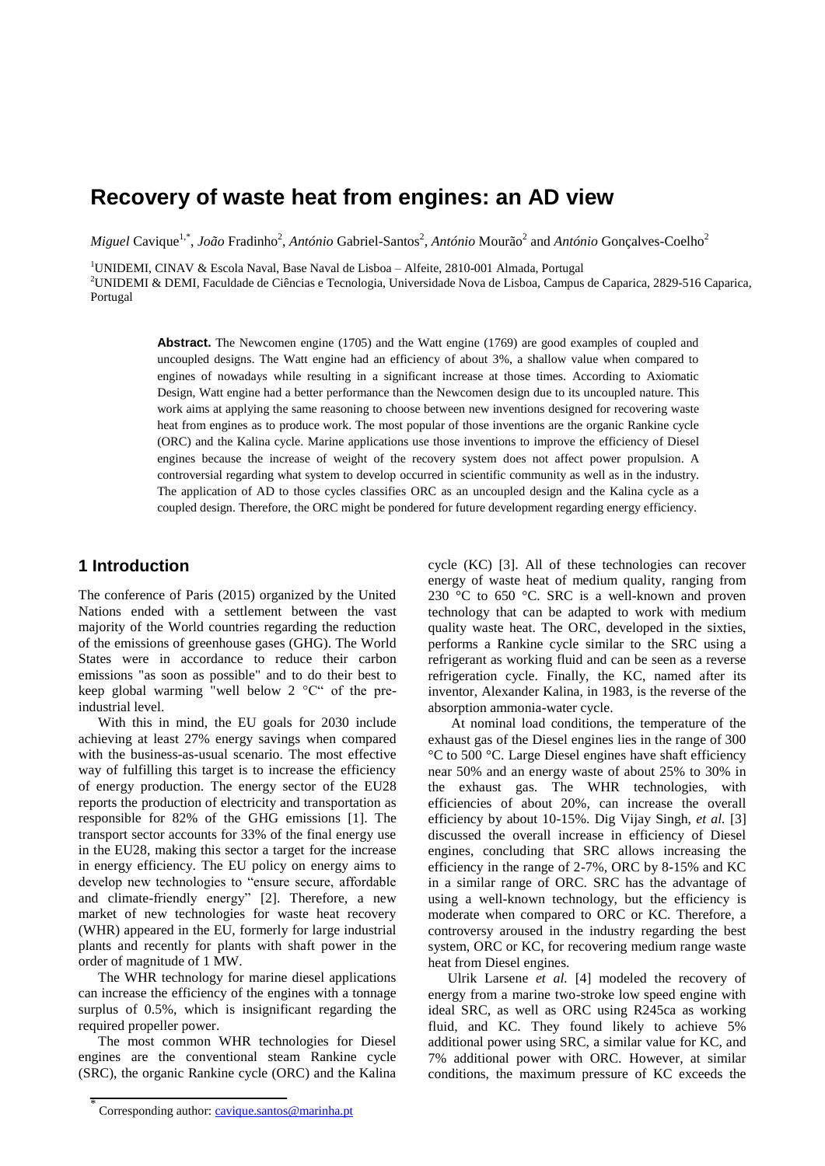# **Recovery of waste heat from engines: an AD view**

*Miguel* Cavique<sup>1,\*</sup>, *João* Fradinho<sup>2</sup>, *António* Gabriel-Santos<sup>2</sup>, *António* Mourão<sup>2</sup> and *António* Gonçalves-Coelho<sup>2</sup>

<sup>1</sup>UNIDEMI, CINAV & Escola Naval, Base Naval de Lisboa – Alfeite, 2810-001 Almada, Portugal

<sup>2</sup>UNIDEMI & DEMI, Faculdade de Ciências e Tecnologia, Universidade Nova de Lisboa, Campus de Caparica, 2829-516 Caparica, Portugal

> **Abstract.** The Newcomen engine (1705) and the Watt engine (1769) are good examples of coupled and uncoupled designs. The Watt engine had an efficiency of about 3%, a shallow value when compared to engines of nowadays while resulting in a significant increase at those times. According to Axiomatic Design, Watt engine had a better performance than the Newcomen design due to its uncoupled nature. This work aims at applying the same reasoning to choose between new inventions designed for recovering waste heat from engines as to produce work. The most popular of those inventions are the organic Rankine cycle (ORC) and the Kalina cycle. Marine applications use those inventions to improve the efficiency of Diesel engines because the increase of weight of the recovery system does not affect power propulsion. A controversial regarding what system to develop occurred in scientific community as well as in the industry. The application of AD to those cycles classifies ORC as an uncoupled design and the Kalina cycle as a coupled design. Therefore, the ORC might be pondered for future development regarding energy efficiency.

## **1 Introduction**

The conference of Paris (2015) organized by the United Nations ended with a settlement between the vast majority of the World countries regarding the reduction of the emissions of greenhouse gases (GHG). The World States were in accordance to reduce their carbon emissions "as soon as possible" and to do their best to keep global warming "well below 2 °C" of the preindustrial level.

With this in mind, the EU goals for 2030 include achieving at least 27% energy savings when compared with the business-as-usual scenario. The most effective way of fulfilling this target is to increase the efficiency of energy production. The energy sector of the EU28 reports the production of electricity and transportation as responsible for 82% of the GHG emissions [1]. The transport sector accounts for 33% of the final energy use in the EU28, making this sector a target for the increase in energy efficiency. The EU policy on energy aims to develop new technologies to "ensure secure, affordable and climate-friendly energy" [2]. Therefore, a new market of new technologies for waste heat recovery (WHR) appeared in the EU, formerly for large industrial plants and recently for plants with shaft power in the order of magnitude of 1 MW.

The WHR technology for marine diesel applications can increase the efficiency of the engines with a tonnage surplus of 0.5%, which is insignificant regarding the required propeller power.

The most common WHR technologies for Diesel engines are the conventional steam Rankine cycle (SRC), the organic Rankine cycle (ORC) and the Kalina cycle (KC) [3]. All of these technologies can recover energy of waste heat of medium quality, ranging from 230 °C to 650 °C. SRC is a well-known and proven technology that can be adapted to work with medium quality waste heat. The ORC, developed in the sixties, performs a Rankine cycle similar to the SRC using a refrigerant as working fluid and can be seen as a reverse refrigeration cycle. Finally, the KC, named after its inventor, Alexander Kalina, in 1983, is the reverse of the absorption ammonia-water cycle.

At nominal load conditions, the temperature of the exhaust gas of the Diesel engines lies in the range of 300 °C to 500 °C. Large Diesel engines have shaft efficiency near 50% and an energy waste of about 25% to 30% in the exhaust gas. The WHR technologies, with efficiencies of about 20%, can increase the overall efficiency by about 10-15%. Dig Vijay Singh, *et al.* [3] discussed the overall increase in efficiency of Diesel engines, concluding that SRC allows increasing the efficiency in the range of 2-7%, ORC by 8-15% and KC in a similar range of ORC. SRC has the advantage of using a well-known technology, but the efficiency is moderate when compared to ORC or KC. Therefore, a controversy aroused in the industry regarding the best system, ORC or KC, for recovering medium range waste heat from Diesel engines.

Ulrik Larsene *et al.* [4] modeled the recovery of energy from a marine two-stroke low speed engine with ideal SRC, as well as ORC using R245ca as working fluid, and KC. They found likely to achieve 5% additional power using SRC, a similar value for KC, and 7% additional power with ORC. However, at similar conditions, the maximum pressure of KC exceeds the

<sup>\*</sup> Corresponding author: [cavique.santos@marinha.pt](mailto:cavique.santos@marinha.pt)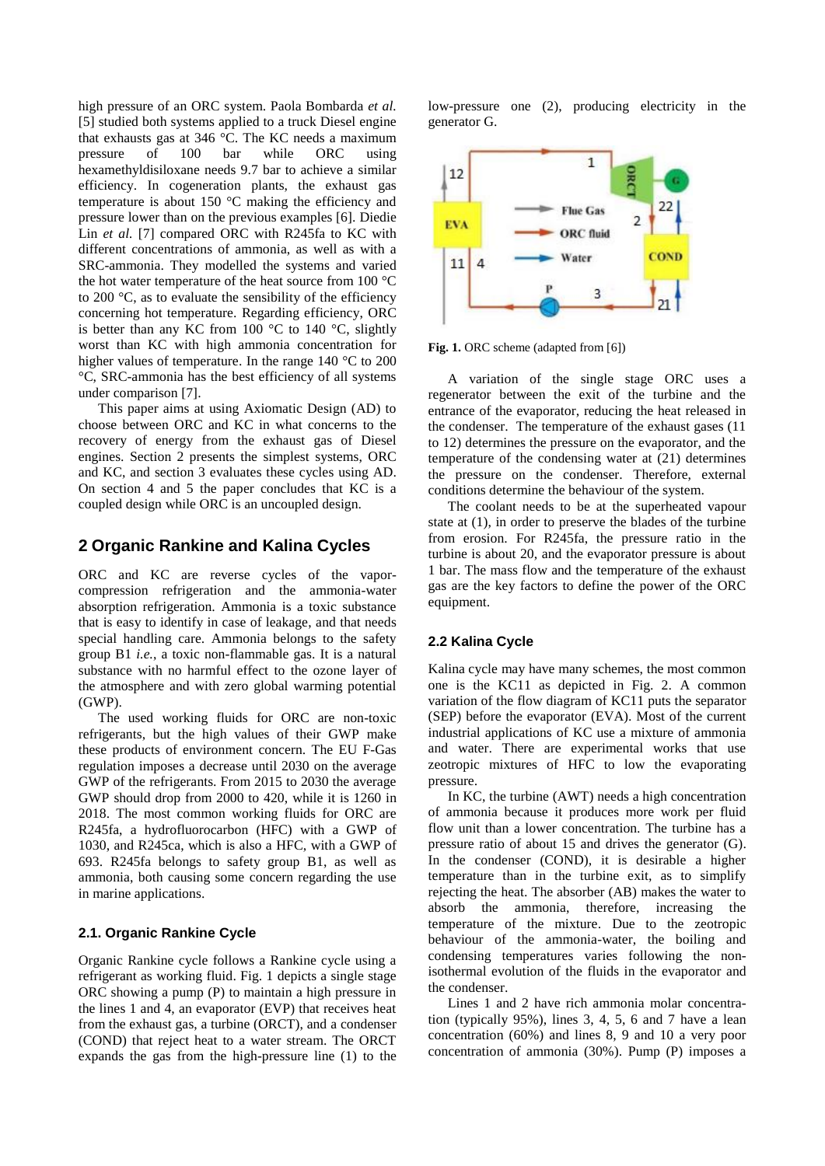high pressure of an ORC system. Paola Bombarda *et al.* [5] studied both systems applied to a truck Diesel engine that exhausts gas at 346 °C. The KC needs a maximum<br>pressure of 100 bar while ORC using pressure of 100 bar while ORC using hexamethyldisiloxane needs 9.7 bar to achieve a similar efficiency. In cogeneration plants, the exhaust gas temperature is about 150 °C making the efficiency and pressure lower than on the previous examples [6]. Diedie Lin *et al.* [7] compared ORC with R245fa to KC with different concentrations of ammonia, as well as with a SRC-ammonia. They modelled the systems and varied the hot water temperature of the heat source from 100 °C to 200 °C, as to evaluate the sensibility of the efficiency concerning hot temperature. Regarding efficiency, ORC is better than any KC from 100  $\degree$ C to 140  $\degree$ C, slightly worst than KC with high ammonia concentration for higher values of temperature. In the range 140 °C to 200 °C, SRC-ammonia has the best efficiency of all systems under comparison [7].

This paper aims at using Axiomatic Design (AD) to choose between ORC and KC in what concerns to the recovery of energy from the exhaust gas of Diesel engines. Section 2 presents the simplest systems, ORC and KC, and section 3 evaluates these cycles using AD. On section 4 and 5 the paper concludes that KC is a coupled design while ORC is an uncoupled design.

## **2 Organic Rankine and Kalina Cycles**

ORC and KC are reverse cycles of the vaporcompression refrigeration and the ammonia-water absorption refrigeration. Ammonia is a toxic substance that is easy to identify in case of leakage, and that needs special handling care. Ammonia belongs to the safety group B1 *i.e.*, a toxic non-flammable gas. It is a natural substance with no harmful effect to the ozone layer of the atmosphere and with zero global warming potential (GWP).

The used working fluids for ORC are non-toxic refrigerants, but the high values of their GWP make these products of environment concern. The EU F-Gas regulation imposes a decrease until 2030 on the average GWP of the refrigerants. From 2015 to 2030 the average GWP should drop from 2000 to 420, while it is 1260 in 2018. The most common working fluids for ORC are R245fa, a hydrofluorocarbon (HFC) with a GWP of 1030, and R245ca, which is also a HFC, with a GWP of 693. R245fa belongs to safety group B1, as well as ammonia, both causing some concern regarding the use in marine applications.

### **2.1. Organic Rankine Cycle**

Organic Rankine cycle follows a Rankine cycle using a refrigerant as working fluid. Fig. 1 depicts a single stage ORC showing a pump (P) to maintain a high pressure in the lines 1 and 4, an evaporator (EVP) that receives heat from the exhaust gas, a turbine (ORCT), and a condenser (COND) that reject heat to a water stream. The ORCT expands the gas from the high-pressure line (1) to the low-pressure one (2), producing electricity in the generator G.



**Fig. 1.** ORC scheme (adapted from [6])

A variation of the single stage ORC uses a regenerator between the exit of the turbine and the entrance of the evaporator, reducing the heat released in the condenser. The temperature of the exhaust gases (11 to 12) determines the pressure on the evaporator, and the temperature of the condensing water at (21) determines the pressure on the condenser. Therefore, external conditions determine the behaviour of the system.

The coolant needs to be at the superheated vapour state at (1), in order to preserve the blades of the turbine from erosion. For R245fa, the pressure ratio in the turbine is about 20, and the evaporator pressure is about 1 bar. The mass flow and the temperature of the exhaust gas are the key factors to define the power of the ORC equipment.

#### **2.2 Kalina Cycle**

Kalina cycle may have many schemes, the most common one is the KC11 as depicted in Fig. 2. A common variation of the flow diagram of KC11 puts the separator (SEP) before the evaporator (EVA). Most of the current industrial applications of KC use a mixture of ammonia and water. There are experimental works that use zeotropic mixtures of HFC to low the evaporating pressure.

In KC, the turbine (AWT) needs a high concentration of ammonia because it produces more work per fluid flow unit than a lower concentration. The turbine has a pressure ratio of about 15 and drives the generator (G). In the condenser (COND), it is desirable a higher temperature than in the turbine exit, as to simplify rejecting the heat. The absorber (AB) makes the water to absorb the ammonia, therefore, increasing the temperature of the mixture. Due to the zeotropic behaviour of the ammonia-water, the boiling and condensing temperatures varies following the nonisothermal evolution of the fluids in the evaporator and the condenser.

Lines 1 and 2 have rich ammonia molar concentration (typically 95%), lines 3, 4, 5, 6 and 7 have a lean concentration (60%) and lines 8, 9 and 10 a very poor concentration of ammonia (30%). Pump (P) imposes a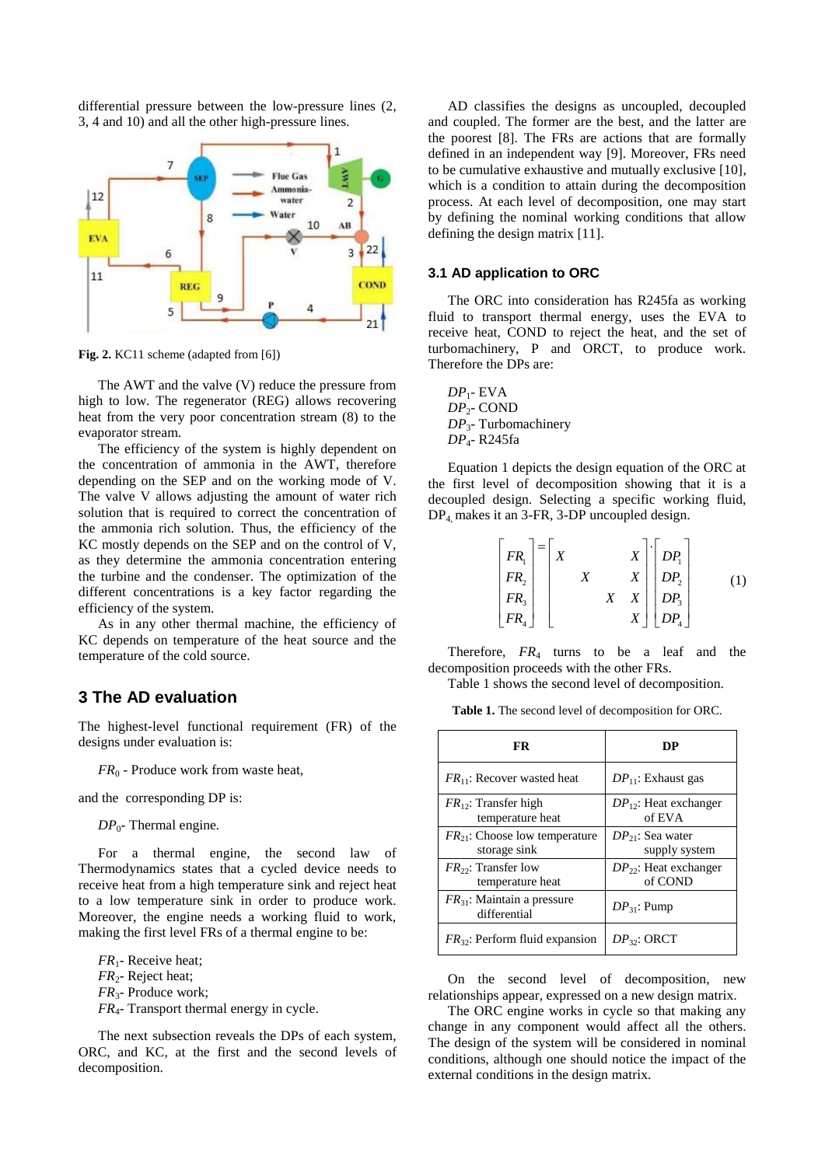differential pressure between the low-pressure lines (2, 3, 4 and 10) and all the other high-pressure lines.



**Fig. 2.** KC11 scheme (adapted from [6])

The AWT and the valve (V) reduce the pressure from high to low. The regenerator (REG) allows recovering heat from the very poor concentration stream (8) to the evaporator stream.

The efficiency of the system is highly dependent on the concentration of ammonia in the AWT, therefore depending on the SEP and on the working mode of V. The valve V allows adjusting the amount of water rich solution that is required to correct the concentration of the ammonia rich solution. Thus, the efficiency of the KC mostly depends on the SEP and on the control of V, as they determine the ammonia concentration entering the turbine and the condenser. The optimization of the different concentrations is a key factor regarding the efficiency of the system.

As in any other thermal machine, the efficiency of KC depends on temperature of the heat source and the temperature of the cold source.

## **3 The AD evaluation**

The highest-level functional requirement (FR) of the designs under evaluation is:

*FR*<sub>0</sub> - Produce work from waste heat,

and the corresponding DP is:

*DP*0*-* Thermal engine*.*

For a thermal engine, the second law of Thermodynamics states that a cycled device needs to receive heat from a high temperature sink and reject heat to a low temperature sink in order to produce work. Moreover, the engine needs a working fluid to work, making the first level FRs of a thermal engine to be:

*FR*1- Receive heat; *FR*2- Reject heat; *FR*3- Produce work; *FR*4- Transport thermal energy in cycle.

The next subsection reveals the DPs of each system, ORC, and KC, at the first and the second levels of decomposition.

AD classifies the designs as uncoupled, decoupled and coupled. The former are the best, and the latter are the poorest [8]. The FRs are actions that are formally defined in an independent way [9]. Moreover, FRs need to be cumulative exhaustive and mutually exclusive [10], which is a condition to attain during the decomposition process. At each level of decomposition, one may start by defining the nominal working conditions that allow defining the design matrix [11].

#### **3.1 AD application to ORC**

The ORC into consideration has R245fa as working fluid to transport thermal energy, uses the EVA to receive heat, COND to reject the heat, and the set of turbomachinery, P and ORCT, to produce work. Therefore the DPs are:

*DP*1- EVA *DP*2- COND *DP*3- Turbomachinery *DP*4- R245fa

Equation 1 depicts the design equation of the ORC at the first level of decomposition showing that it is a decoupled design. Selecting a specific working fluid, DP4, makes it an 3-FR, 3-DP uncoupled design.

| $\begin{bmatrix} FR_1 \\ FR_2 \\ FR_3 \\ FR_4 \end{bmatrix} = \begin{bmatrix} X \\ KR_1 \\ FR_2 \\ FR_3 \end{bmatrix}$ |  | $\boldsymbol{X}$ | $\begin{bmatrix} X \\ X \\ X \\ X \\ X \end{bmatrix} \begin{bmatrix} DP_1 \\ DP_2 \\ DP_3 \\ DP_4 \end{bmatrix}$ |  |
|------------------------------------------------------------------------------------------------------------------------|--|------------------|------------------------------------------------------------------------------------------------------------------|--|
|                                                                                                                        |  |                  |                                                                                                                  |  |

Therefore,  $FR_4$  turns to be a leaf and the decomposition proceeds with the other FRs.

Table 1 shows the second level of decomposition.

**Table 1.** The second level of decomposition for ORC.

| FR.                                                | DP                                     |  |  |  |
|----------------------------------------------------|----------------------------------------|--|--|--|
| $FR_{11}$ : Recover wasted heat                    | $DP_{11}$ : Exhaust gas                |  |  |  |
| $FR_{12}$ : Transfer high<br>temperature heat      | $DP_{12}$ : Heat exchanger<br>of EVA   |  |  |  |
| $FR_{21}$ : Choose low temperature<br>storage sink | $DP_{21}$ : Sea water<br>supply system |  |  |  |
| $FR_{22}$ : Transfer low<br>temperature heat       | $DP_{22}$ : Heat exchanger<br>of COND  |  |  |  |
| $FR_{31}$ : Maintain a pressure<br>differential    | $DP_{31}$ : Pump                       |  |  |  |
| $FR_{32}$ : Perform fluid expansion                | $DP_{32}$ : ORCT                       |  |  |  |

On the second level of decomposition, new relationships appear, expressed on a new design matrix.

The ORC engine works in cycle so that making any change in any component would affect all the others. The design of the system will be considered in nominal conditions, although one should notice the impact of the external conditions in the design matrix.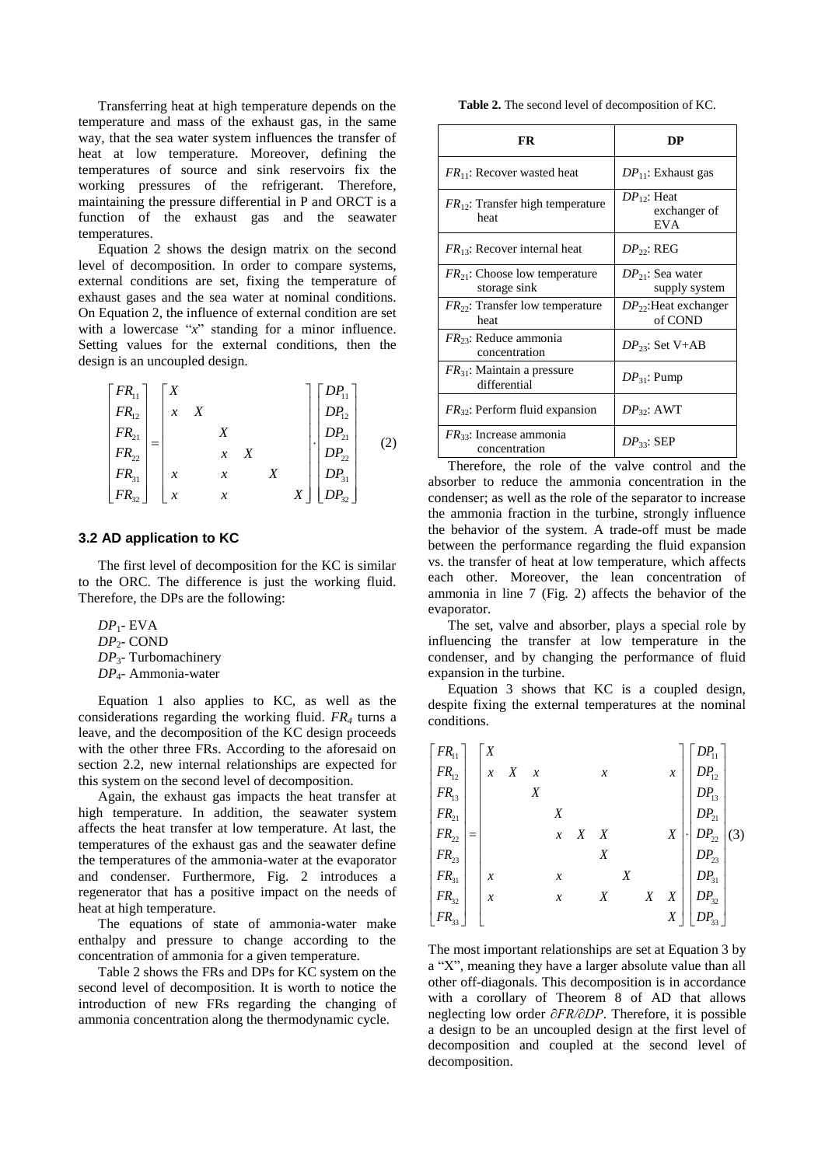Transferring heat at high temperature depends on the temperature and mass of the exhaust gas, in the same way, that the sea water system influences the transfer of heat at low temperature. Moreover, defining the temperatures of source and sink reservoirs fix the working pressures of the refrigerant. Therefore, maintaining the pressure differential in P and ORCT is a function of the exhaust gas and the seawater temperatures.

Equation 2 shows the design matrix on the second level of decomposition. In order to compare systems, external conditions are set, fixing the temperature of exhaust gases and the sea water at nominal conditions. On Equation 2, the influence of external condition are set with a lowercase "*x*" standing for a minor influence. Setting values for the external conditions, then the design is an uncoupled design.

$$
\begin{bmatrix} FR_{11} \ FR_{12} \ FR_{21} \ FR_{21} \ FR_{31} \ FR_{31} \ FR_{32} \end{bmatrix} = \begin{bmatrix} X & & & & \\ x & X & & & \\ & X & & & \\ & x & X & & \\ & & x & X & \\ & & & X & X \\ & & & & X \end{bmatrix} \begin{bmatrix} DP_{11} \ DP_{12} \ DP_{21} \ DP_{22} \ DP_{31} \ DP_{32} \end{bmatrix}
$$
 (2)

## **3.2 AD application to KC**

The first level of decomposition for the KC is similar to the ORC. The difference is just the working fluid. Therefore, the DPs are the following:

*DP*1- EVA *DP*2- COND *DP*3- Turbomachinery *DP*4- Ammonia-water

Equation 1 also applies to KC, as well as the considerations regarding the working fluid. *FR<sup>4</sup>* turns a leave, and the decomposition of the KC design proceeds with the other three FRs. According to the aforesaid on section 2.2, new internal relationships are expected for this system on the second level of decomposition.

Again, the exhaust gas impacts the heat transfer at high temperature. In addition, the seawater system affects the heat transfer at low temperature. At last, the temperatures of the exhaust gas and the seawater define the temperatures of the ammonia-water at the evaporator and condenser. Furthermore, Fig. 2 introduces a regenerator that has a positive impact on the needs of heat at high temperature.

The equations of state of ammonia-water make enthalpy and pressure to change according to the concentration of ammonia for a given temperature.

Table 2 shows the FRs and DPs for KC system on the second level of decomposition. It is worth to notice the introduction of new FRs regarding the changing of ammonia concentration along the thermodynamic cycle.

**Table 2.** The second level of decomposition of KC.

| FR                                                 | DР                                             |  |  |  |
|----------------------------------------------------|------------------------------------------------|--|--|--|
| $FR_{11}$ : Recover wasted heat                    | $DP_{11}$ : Exhaust gas                        |  |  |  |
| $FR_{12}$ : Transfer high temperature<br>heat      | $DP_{12}$ : Heat<br>exchanger of<br><b>EVA</b> |  |  |  |
| $FR_{13}$ : Recover internal heat                  | $DP_{22}$ : REG                                |  |  |  |
| $FR_{21}$ : Choose low temperature<br>storage sink | $DP_{21}$ : Sea water<br>supply system         |  |  |  |
| $FR_{22}$ : Transfer low temperature<br>heat       | $DP_{22}$ :Heat exchanger<br>of COND           |  |  |  |
| $FR_{23}$ : Reduce ammonia<br>concentration        | $DP_{23}$ : Set V+AB                           |  |  |  |
| $FR_{31}$ : Maintain a pressure<br>differential    | $DP_{31}$ : Pump                               |  |  |  |
| $FR_{32}$ : Perform fluid expansion                | $DP_{32}$ : AWT                                |  |  |  |
| $FR_{33}$ : Increase ammonia<br>concentration      | $DP_{33}$ : SEP                                |  |  |  |

Therefore, the role of the valve control and the absorber to reduce the ammonia concentration in the condenser; as well as the role of the separator to increase the ammonia fraction in the turbine, strongly influence the behavior of the system. A trade-off must be made between the performance regarding the fluid expansion vs. the transfer of heat at low temperature, which affects each other. Moreover, the lean concentration of ammonia in line 7 (Fig. 2) affects the behavior of the evaporator.

The set, valve and absorber, plays a special role by influencing the transfer at low temperature in the condenser, and by changing the performance of fluid expansion in the turbine.

Equation 3 shows that KC is a coupled design, despite fixing the external temperatures at the nominal conditions.

| Contratons.                                                                                                                                           |                                                  |                  |                     |   |                  |   |                  |                  |                                                                       |
|-------------------------------------------------------------------------------------------------------------------------------------------------------|--------------------------------------------------|------------------|---------------------|---|------------------|---|------------------|------------------|-----------------------------------------------------------------------|
|                                                                                                                                                       |                                                  |                  |                     |   |                  |   |                  |                  |                                                                       |
| $\begin{bmatrix} FR_{11} \ FR_{12} \ FR_{13} \ FR_{21} \ FR_{22} \ FR_{33} \ FR_{31} \ FR_{32} \ ER_{32} \ ER_{33} \ ER_{32} \ ER_{33} \end{bmatrix}$ | $\begin{bmatrix} X \\ x & X \end{bmatrix}$       | $\boldsymbol{x}$ |                     |   | $\boldsymbol{x}$ |   |                  | $\mathcal{X}$    | $DP_{11}$<br>$DP_{12}$<br>$DP_{13}$<br>$DP_{21}$<br>$DP_{22}$         |
|                                                                                                                                                       |                                                  | X                |                     |   |                  |   |                  |                  |                                                                       |
|                                                                                                                                                       |                                                  |                  | X                   |   |                  |   |                  |                  |                                                                       |
|                                                                                                                                                       |                                                  |                  | $\boldsymbol{\chi}$ | X | X                |   |                  | $\boldsymbol{X}$ | (3)                                                                   |
|                                                                                                                                                       |                                                  |                  |                     |   | $\boldsymbol{X}$ |   |                  |                  | $DP_{23}$                                                             |
|                                                                                                                                                       | $\begin{array}{ c c } \hline x \\ x \end{array}$ |                  | $\boldsymbol{x}$    |   |                  | X |                  |                  | $\begin{array}{c}   \text{ } DP_{31} \\ \text{ } DP_{32} \end{array}$ |
|                                                                                                                                                       |                                                  |                  | $\boldsymbol{\chi}$ |   | $\boldsymbol{X}$ |   | $\boldsymbol{X}$ | X                |                                                                       |
|                                                                                                                                                       |                                                  |                  |                     |   |                  |   |                  | $\boldsymbol{X}$ |                                                                       |

The most important relationships are set at Equation 3 by a "X", meaning they have a larger absolute value than all other off-diagonals. This decomposition is in accordance with a corollary of Theorem 8 of AD that allows neglecting low order *∂FR/∂DP*. Therefore, it is possible a design to be an uncoupled design at the first level of decomposition and coupled at the second level of decomposition.